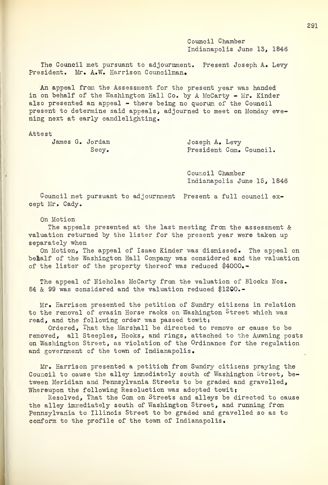Council Chamber Indianapolis June 13, 1846

The Council met pursuant to adjournment. Present Joseph A. Levy President. Mr. A.W. Harrison Councilman.

An appeal from the Assessment for the present year was handed in on behalf of the Washington Hall Co. by A McCarty - Mr. Kinder also presented an appeal - there being no quorum of the Council present to determine said appeals, adjourned to meet on Monday eve ning next at early candlelighting.

Attest

James G. Jordan Joseph A. Levy

Secy. President Com. Council.

Council Chamber Indianapolis June 15, 1846

Council met pursuant to adjournment Present a full council except Mr. Cady.

On Motion

The appeals presented at the last meeting from the assessment  $\&$ valuation returned by the lister for the present year were taken up separately when

On Motion, The appeal of Isaac Kinder was dismissed. The appeal on belalf of the Washington Hall Company was considered and the valuation of the lister of the property thereof was reduced \$4000.-

The appeal of Nicholas McCarty from the valuation of Blocks Nos. 84 & 99 was considered and the valuation reduced \$1200.-

Mr. Harrison presented the petition of Sundry citizens in relation to the removal of evasin Horse racks on Washington Street which was read, and the following order was passed towit:

Ordered, That the Marshall be directed to remove or cause to be removed, all Steeples, Hooks, and rings, attached to the Auwning posts on Washington Street, as violation of the Ordinance for the regulation and government of the town of Indianapolis.

Mr. Harrison presented a petitioh from Sundry citizens praying the Council to cause the alley immediately south of Washington Street, between Meridian and Pennsylvania Streets to be graded and gravelled, Whereupon the following Resoluction was adopted towit:

Resolved, That the Com on Streets and alleys be directed to cause the alley immediately south of Washington Street, and running from Pennsylvania to Illinois Street to be graded and gravelled so as to conform to the profile of the town of Indianapolis.